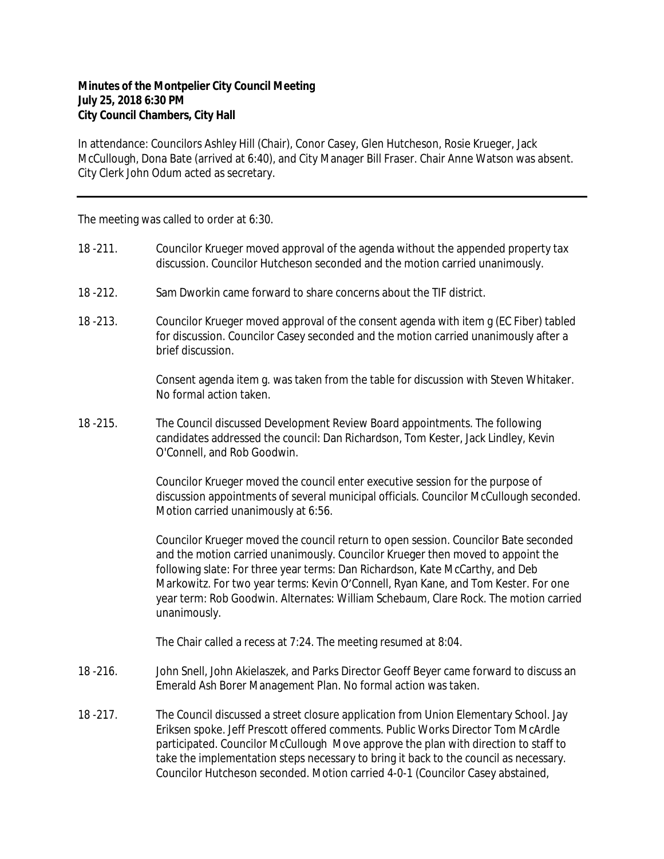## **Minutes of the Montpelier City Council Meeting July 25, 2018 6:30 PM City Council Chambers, City Hall**

In attendance: Councilors Ashley Hill (Chair), Conor Casey, Glen Hutcheson, Rosie Krueger, Jack McCullough, Dona Bate (arrived at 6:40), and City Manager Bill Fraser. Chair Anne Watson was absent. City Clerk John Odum acted as secretary.

The meeting was called to order at 6:30.

- 18 -211. Councilor Krueger moved approval of the agenda without the appended property tax discussion. Councilor Hutcheson seconded and the motion carried unanimously.
- 18 -212. Sam Dworkin came forward to share concerns about the TIF district.
- 18 -213. Councilor Krueger moved approval of the consent agenda with item g (EC Fiber) tabled for discussion. Councilor Casey seconded and the motion carried unanimously after a brief discussion.

Consent agenda item g. was taken from the table for discussion with Steven Whitaker. No formal action taken.

18 -215. The Council discussed Development Review Board appointments. The following candidates addressed the council: Dan Richardson, Tom Kester, Jack Lindley, Kevin O'Connell, and Rob Goodwin.

> Councilor Krueger moved the council enter executive session for the purpose of discussion appointments of several municipal officials. Councilor McCullough seconded. Motion carried unanimously at 6:56.

> Councilor Krueger moved the council return to open session. Councilor Bate seconded and the motion carried unanimously. Councilor Krueger then moved to appoint the following slate: For three year terms: Dan Richardson, Kate McCarthy, and Deb Markowitz. For two year terms: Kevin O'Connell, Ryan Kane, and Tom Kester. For one year term: Rob Goodwin. Alternates: William Schebaum, Clare Rock. The motion carried unanimously.

The Chair called a recess at 7:24. The meeting resumed at 8:04.

- 18 -216. John Snell, John Akielaszek, and Parks Director Geoff Beyer came forward to discuss an Emerald Ash Borer Management Plan. No formal action was taken.
- 18 -217. The Council discussed a street closure application from Union Elementary School. Jay Eriksen spoke. Jeff Prescott offered comments. Public Works Director Tom McArdle participated. Councilor McCullough Move approve the plan with direction to staff to take the implementation steps necessary to bring it back to the council as necessary. Councilor Hutcheson seconded. Motion carried 4-0-1 (Councilor Casey abstained,